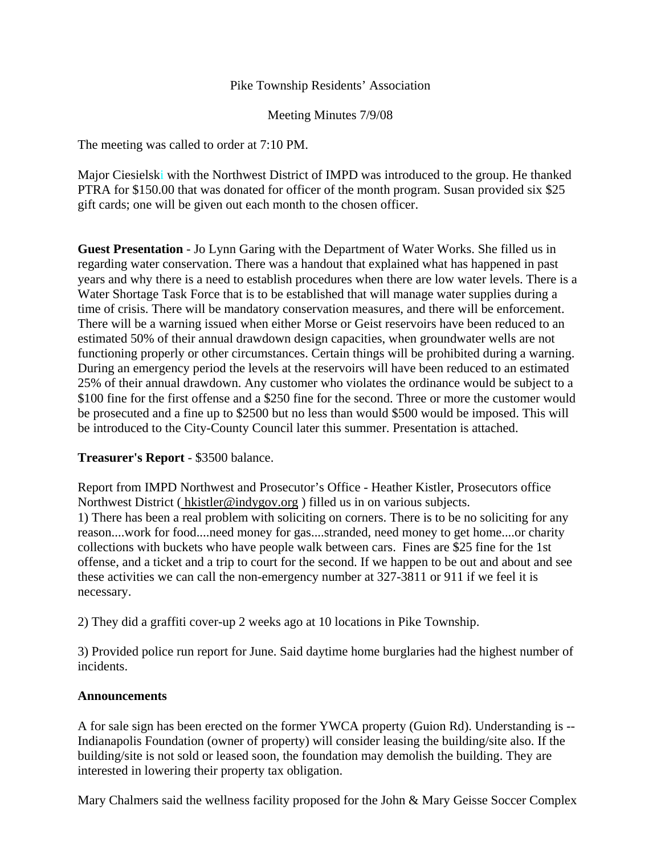## Pike Township Residents' Association

Meeting Minutes 7/9/08

The meeting was called to order at 7:10 PM.

Major Ciesielski with the Northwest District of IMPD was introduced to the group. He thanked PTRA for \$150.00 that was donated for officer of the month program. Susan provided six \$25 gift cards; one will be given out each month to the chosen officer.

**Guest Presentation** - Jo Lynn Garing with the Department of Water Works. She filled us in regarding water conservation. There was a handout that explained what has happened in past years and why there is a need to establish procedures when there are low water levels. There is a Water Shortage Task Force that is to be established that will manage water supplies during a time of crisis. There will be mandatory conservation measures, and there will be enforcement. There will be a warning issued when either Morse or Geist reservoirs have been reduced to an estimated 50% of their annual drawdown design capacities, when groundwater wells are not functioning properly or other circumstances. Certain things will be prohibited during a warning. During an emergency period the levels at the reservoirs will have been reduced to an estimated 25% of their annual drawdown. Any customer who violates the ordinance would be subject to a \$100 fine for the first offense and a \$250 fine for the second. Three or more the customer would be prosecuted and a fine up to \$2500 but no less than would \$500 would be imposed. This will be introduced to the City-County Council later this summer. Presentation is attached.

## **Treasurer's Report** - \$3500 balance.

Report from IMPD Northwest and Prosecutor's Office - Heather Kistler, Prosecutors office Northwest District (hkistler@indygov.org) filled us in on various subjects. 1) There has been a real problem with soliciting on corners. There is to be no soliciting for any reason....work for food....need money for gas....stranded, need money to get home....or charity collections with buckets who have people walk between cars. Fines are \$25 fine for the 1st offense, and a ticket and a trip to court for the second. If we happen to be out and about and see these activities we can call the non-emergency number at 327-3811 or 911 if we feel it is necessary.

2) They did a graffiti cover-up 2 weeks ago at 10 locations in Pike Township.

3) Provided police run report for June. Said daytime home burglaries had the highest number of incidents.

#### **Announcements**

A for sale sign has been erected on the former YWCA property (Guion Rd). Understanding is -- Indianapolis Foundation (owner of property) will consider leasing the building/site also. If the building/site is not sold or leased soon, the foundation may demolish the building. They are interested in lowering their property tax obligation.

Mary Chalmers said the wellness facility proposed for the John & Mary Geisse Soccer Complex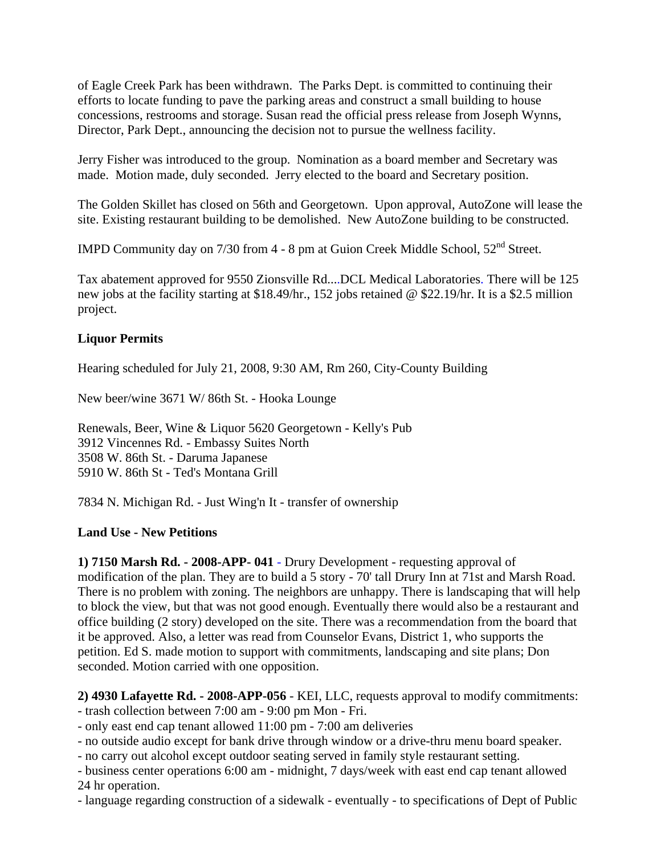of Eagle Creek Park has been withdrawn. The Parks Dept. is committed to continuing their efforts to locate funding to pave the parking areas and construct a small building to house concessions, restrooms and storage. Susan read the official press release from Joseph Wynns, Director, Park Dept., announcing the decision not to pursue the wellness facility.

Jerry Fisher was introduced to the group. Nomination as a board member and Secretary was made. Motion made, duly seconded. Jerry elected to the board and Secretary position.

The Golden Skillet has closed on 56th and Georgetown. Upon approval, AutoZone will lease the site. Existing restaurant building to be demolished. New AutoZone building to be constructed.

IMPD Community day on 7/30 from 4 - 8 pm at Guion Creek Middle School, 52nd Street.

Tax abatement approved for 9550 Zionsville Rd....DCL Medical Laboratories. There will be 125 new jobs at the facility starting at \$18.49/hr., 152 jobs retained @ \$22.19/hr. It is a \$2.5 million project.

## **Liquor Permits**

Hearing scheduled for July 21, 2008, 9:30 AM, Rm 260, City-County Building

New beer/wine 3671 W/ 86th St. - Hooka Lounge

Renewals, Beer, Wine & Liquor 5620 Georgetown - Kelly's Pub 3912 Vincennes Rd. - Embassy Suites North 3508 W. 86th St. - Daruma Japanese 5910 W. 86th St - Ted's Montana Grill

7834 N. Michigan Rd. - Just Wing'n It - transfer of ownership

## **Land Use - New Petitions**

**1) 7150 Marsh Rd. - 2008-APP- 041** - Drury Development - requesting approval of modification of the plan. They are to build a 5 story - 70' tall Drury Inn at 71st and Marsh Road. There is no problem with zoning. The neighbors are unhappy. There is landscaping that will help to block the view, but that was not good enough. Eventually there would also be a restaurant and office building (2 story) developed on the site. There was a recommendation from the board that it be approved. Also, a letter was read from Counselor Evans, District 1, who supports the petition. Ed S. made motion to support with commitments, landscaping and site plans; Don seconded. Motion carried with one opposition.

**2) 4930 Lafayette Rd. - 2008-APP-056** - KEI, LLC, requests approval to modify commitments: - trash collection between 7:00 am - 9:00 pm Mon - Fri.

- only east end cap tenant allowed 11:00 pm - 7:00 am deliveries

- no outside audio except for bank drive through window or a drive-thru menu board speaker.

- no carry out alcohol except outdoor seating served in family style restaurant setting.

- business center operations 6:00 am - midnight, 7 days/week with east end cap tenant allowed 24 hr operation.

- language regarding construction of a sidewalk - eventually - to specifications of Dept of Public